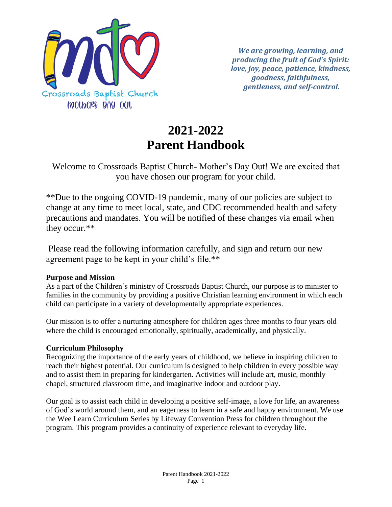

*We are growing, learning, and producing the fruit of God's Spirit: love, joy, peace, patience, kindness, goodness, faithfulness, gentleness, and self-control.* 

# **2021-2022 Parent Handbook**

# Welcome to Crossroads Baptist Church- Mother's Day Out! We are excited that you have chosen our program for your child.

\*\*Due to the ongoing COVID-19 pandemic, many of our policies are subject to change at any time to meet local, state, and CDC recommended health and safety precautions and mandates. You will be notified of these changes via email when they occur.\*\*

Please read the following information carefully, and sign and return our new agreement page to be kept in your child's file.\*\*

## **Purpose and Mission**

As a part of the Children's ministry of Crossroads Baptist Church, our purpose is to minister to families in the community by providing a positive Christian learning environment in which each child can participate in a variety of developmentally appropriate experiences.

Our mission is to offer a nurturing atmosphere for children ages three months to four years old where the child is encouraged emotionally, spiritually, academically, and physically.

# **Curriculum Philosophy**

Recognizing the importance of the early years of childhood, we believe in inspiring children to reach their highest potential. Our curriculum is designed to help children in every possible way and to assist them in preparing for kindergarten. Activities will include art, music, monthly chapel, structured classroom time, and imaginative indoor and outdoor play.

Our goal is to assist each child in developing a positive self-image, a love for life, an awareness of God's world around them, and an eagerness to learn in a safe and happy environment. We use the Wee Learn Curriculum Series by Lifeway Convention Press for children throughout the program. This program provides a continuity of experience relevant to everyday life.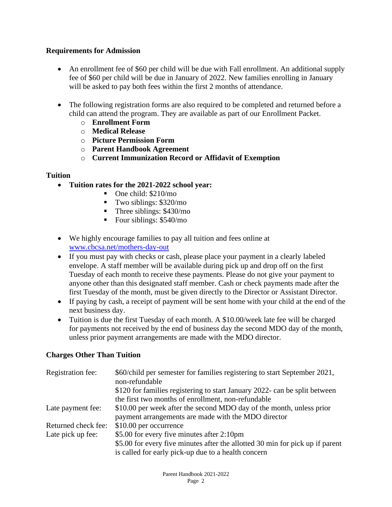# **Requirements for Admission**

- An enrollment fee of \$60 per child will be due with Fall enrollment. An additional supply fee of \$60 per child will be due in January of 2022. New families enrolling in January will be asked to pay both fees within the first 2 months of attendance.
- The following registration forms are also required to be completed and returned before a child can attend the program. They are available as part of our Enrollment Packet.
	- o **Enrollment Form**
	- o **Medical Release**
	- o **Picture Permission Form**
	- o **Parent Handbook Agreement**
	- o **Current Immunization Record or Affidavit of Exemption**

## **Tuition**

- **Tuition rates for the 2021-2022 school year:**
	- One child: \$210/mo
	- $\blacksquare$  Two siblings: \$320/mo
	- Three siblings:  $$430/mo$
	- $\blacksquare$  Four siblings: \$540/mo
- We highly encourage families to pay all tuition and fees online at [www.cbcsa.net/mothers-day-out](http://www.cbcsa.net/mothers-day-out)
- If you must pay with checks or cash, please place your payment in a clearly labeled envelope. A staff member will be available during pick up and drop off on the first Tuesday of each month to receive these payments. Please do not give your payment to anyone other than this designated staff member. Cash or check payments made after the first Tuesday of the month, must be given directly to the Director or Assistant Director.
- If paying by cash, a receipt of payment will be sent home with your child at the end of the next business day.
- Tuition is due the first Tuesday of each month. A \$10.00/week late fee will be charged for payments not received by the end of business day the second MDO day of the month, unless prior payment arrangements are made with the MDO director.

## **Charges Other Than Tuition**

| Registration fee:   | \$60/child per semester for families registering to start September 2021,<br>non-refundable |
|---------------------|---------------------------------------------------------------------------------------------|
|                     | \$120 for families registering to start January 2022- can be split between                  |
|                     | the first two months of enrollment, non-refundable                                          |
| Late payment fee:   | \$10.00 per week after the second MDO day of the month, unless prior                        |
|                     | payment arrangements are made with the MDO director                                         |
| Returned check fee: | \$10.00 per occurrence                                                                      |
| Late pick up fee:   | \$5.00 for every five minutes after 2:10pm                                                  |
|                     | \$5.00 for every five minutes after the allotted 30 min for pick up if parent               |
|                     | is called for early pick-up due to a health concern                                         |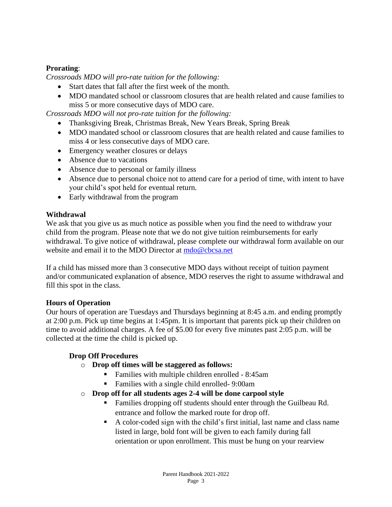# **Prorating**:

*Crossroads MDO will pro-rate tuition for the following:*

- Start dates that fall after the first week of the month.
- MDO mandated school or classroom closures that are health related and cause families to miss 5 or more consecutive days of MDO care.

*Crossroads MDO will not pro-rate tuition for the following:*

- Thanksgiving Break, Christmas Break, New Years Break, Spring Break
- MDO mandated school or classroom closures that are health related and cause families to miss 4 or less consecutive days of MDO care.
- Emergency weather closures or delays
- Absence due to vacations
- Absence due to personal or family illness
- Absence due to personal choice not to attend care for a period of time, with intent to have your child's spot held for eventual return.
- Early withdrawal from the program

# **Withdrawal**

We ask that you give us as much notice as possible when you find the need to withdraw your child from the program. Please note that we do not give tuition reimbursements for early withdrawal. To give notice of withdrawal, please complete our withdrawal form available on our website and email it to the MDO Director at [mdo@cbcsa.net](mailto:mdo@cbcsa.net)

If a child has missed more than 3 consecutive MDO days without receipt of tuition payment and/or communicated explanation of absence, MDO reserves the right to assume withdrawal and fill this spot in the class.

# **Hours of Operation**

Our hours of operation are Tuesdays and Thursdays beginning at 8:45 a.m. and ending promptly at 2:00 p.m. Pick up time begins at 1:45pm. It is important that parents pick up their children on time to avoid additional charges. A fee of \$5.00 for every five minutes past 2:05 p.m. will be collected at the time the child is picked up.

# **Drop Off Procedures**

- o **Drop off times will be staggered as follows:**
	- Families with multiple children enrolled 8:45am
	- Families with a single child enrolled-9:00am
- o **Drop off for all students ages 2-4 will be done carpool style**
	- Families dropping off students should enter through the Guilbeau Rd. entrance and follow the marked route for drop off.
	- A color-coded sign with the child's first initial, last name and class name listed in large, bold font will be given to each family during fall orientation or upon enrollment. This must be hung on your rearview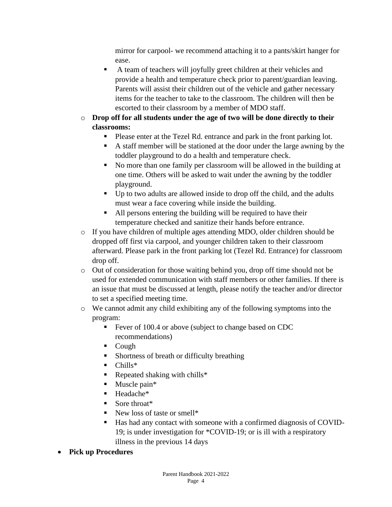mirror for carpool- we recommend attaching it to a pants/skirt hanger for ease.

- A team of teachers will joyfully greet children at their vehicles and provide a health and temperature check prior to parent/guardian leaving. Parents will assist their children out of the vehicle and gather necessary items for the teacher to take to the classroom. The children will then be escorted to their classroom by a member of MDO staff.
- o **Drop off for all students under the age of two will be done directly to their classrooms:**
	- Please enter at the Tezel Rd. entrance and park in the front parking lot.
	- A staff member will be stationed at the door under the large awning by the toddler playground to do a health and temperature check.
	- No more than one family per classroom will be allowed in the building at one time. Others will be asked to wait under the awning by the toddler playground.
	- Up to two adults are allowed inside to drop off the child, and the adults must wear a face covering while inside the building.
	- All persons entering the building will be required to have their temperature checked and sanitize their hands before entrance.
- o If you have children of multiple ages attending MDO, older children should be dropped off first via carpool, and younger children taken to their classroom afterward. Please park in the front parking lot (Tezel Rd. Entrance) for classroom drop off.
- o Out of consideration for those waiting behind you, drop off time should not be used for extended communication with staff members or other families. If there is an issue that must be discussed at length, please notify the teacher and/or director to set a specified meeting time.
- o We cannot admit any child exhibiting any of the following symptoms into the program:
	- Fever of 100.4 or above (subject to change based on CDC recommendations)
	- Cough
	- Shortness of breath or difficulty breathing
	- $\blacksquare$  Chills\*
	- $\blacksquare$  Repeated shaking with chills\*
	- $\blacksquare$  Muscle pain\*
	- Headache<sup>\*</sup>
	- Sore throat<sup>\*</sup>
	- New loss of taste or smell\*
	- Has had any contact with someone with a confirmed diagnosis of COVID-19; is under investigation for \*COVID-19; or is ill with a respiratory illness in the previous 14 days
- **Pick up Procedures**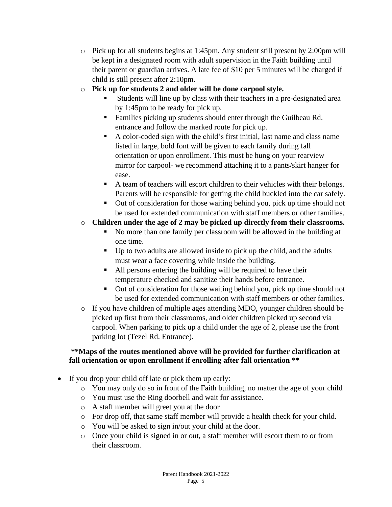- o Pick up for all students begins at 1:45pm. Any student still present by 2:00pm will be kept in a designated room with adult supervision in the Faith building until their parent or guardian arrives. A late fee of \$10 per 5 minutes will be charged if child is still present after 2:10pm.
- o **Pick up for students 2 and older will be done carpool style.**
	- Students will line up by class with their teachers in a pre-designated area by 1:45pm to be ready for pick up.
	- Families picking up students should enter through the Guilbeau Rd. entrance and follow the marked route for pick up.
	- A color-coded sign with the child's first initial, last name and class name listed in large, bold font will be given to each family during fall orientation or upon enrollment. This must be hung on your rearview mirror for carpool- we recommend attaching it to a pants/skirt hanger for ease.
	- A team of teachers will escort children to their vehicles with their belongs. Parents will be responsible for getting the child buckled into the car safely.
	- Out of consideration for those waiting behind you, pick up time should not be used for extended communication with staff members or other families.
- o **Children under the age of 2 may be picked up directly from their classrooms.** 
	- No more than one family per classroom will be allowed in the building at one time.
	- Up to two adults are allowed inside to pick up the child, and the adults must wear a face covering while inside the building.
	- All persons entering the building will be required to have their temperature checked and sanitize their hands before entrance.
	- Out of consideration for those waiting behind you, pick up time should not be used for extended communication with staff members or other families.
- o If you have children of multiple ages attending MDO, younger children should be picked up first from their classrooms, and older children picked up second via carpool. When parking to pick up a child under the age of 2, please use the front parking lot (Tezel Rd. Entrance).

# **\*\*Maps of the routes mentioned above will be provided for further clarification at fall orientation or upon enrollment if enrolling after fall orientation \*\***

- If you drop your child off late or pick them up early:
	- o You may only do so in front of the Faith building, no matter the age of your child
	- o You must use the Ring doorbell and wait for assistance.
	- o A staff member will greet you at the door
	- o For drop off, that same staff member will provide a health check for your child.
	- o You will be asked to sign in/out your child at the door.
	- o Once your child is signed in or out, a staff member will escort them to or from their classroom.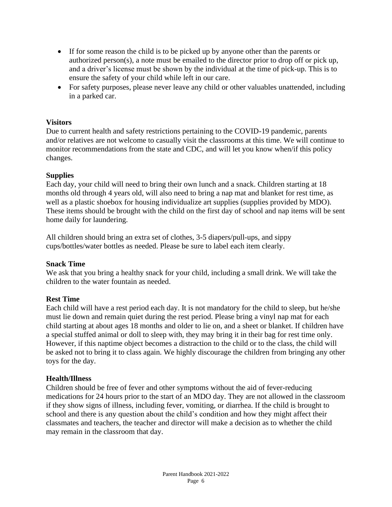- If for some reason the child is to be picked up by anyone other than the parents or authorized person(s), a note must be emailed to the director prior to drop off or pick up, and a driver's license must be shown by the individual at the time of pick-up. This is to ensure the safety of your child while left in our care.
- For safety purposes, please never leave any child or other valuables unattended, including in a parked car.

#### **Visitors**

Due to current health and safety restrictions pertaining to the COVID-19 pandemic, parents and/or relatives are not welcome to casually visit the classrooms at this time. We will continue to monitor recommendations from the state and CDC, and will let you know when/if this policy changes.

#### **Supplies**

Each day, your child will need to bring their own lunch and a snack. Children starting at 18 months old through 4 years old, will also need to bring a nap mat and blanket for rest time, as well as a plastic shoebox for housing individualize art supplies (supplies provided by MDO). These items should be brought with the child on the first day of school and nap items will be sent home daily for laundering.

All children should bring an extra set of clothes, 3-5 diapers/pull-ups, and sippy cups/bottles/water bottles as needed. Please be sure to label each item clearly.

#### **Snack Time**

We ask that you bring a healthy snack for your child, including a small drink. We will take the children to the water fountain as needed.

## **Rest Time**

Each child will have a rest period each day. It is not mandatory for the child to sleep, but he/she must lie down and remain quiet during the rest period. Please bring a vinyl nap mat for each child starting at about ages 18 months and older to lie on, and a sheet or blanket. If children have a special stuffed animal or doll to sleep with, they may bring it in their bag for rest time only. However, if this naptime object becomes a distraction to the child or to the class, the child will be asked not to bring it to class again. We highly discourage the children from bringing any other toys for the day.

## **Health/Illness**

Children should be free of fever and other symptoms without the aid of fever-reducing medications for 24 hours prior to the start of an MDO day. They are not allowed in the classroom if they show signs of illness, including fever, vomiting, or diarrhea. If the child is brought to school and there is any question about the child's condition and how they might affect their classmates and teachers, the teacher and director will make a decision as to whether the child may remain in the classroom that day.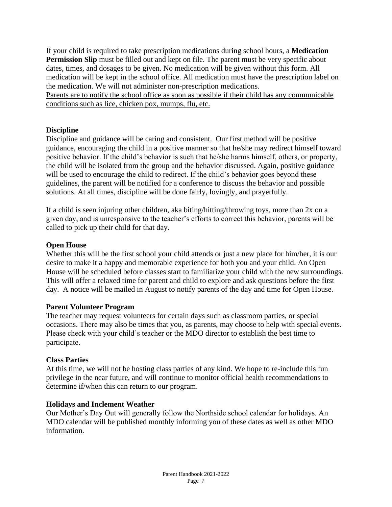If your child is required to take prescription medications during school hours, a **Medication Permission Slip** must be filled out and kept on file. The parent must be very specific about dates, times, and dosages to be given. No medication will be given without this form. All medication will be kept in the school office. All medication must have the prescription label on the medication. We will not administer non-prescription medications.

Parents are to notify the school office as soon as possible if their child has any communicable conditions such as lice, chicken pox, mumps, flu, etc.

#### **Discipline**

Discipline and guidance will be caring and consistent. Our first method will be positive guidance, encouraging the child in a positive manner so that he/she may redirect himself toward positive behavior. If the child's behavior is such that he/she harms himself, others, or property, the child will be isolated from the group and the behavior discussed. Again, positive guidance will be used to encourage the child to redirect. If the child's behavior goes beyond these guidelines, the parent will be notified for a conference to discuss the behavior and possible solutions. At all times, discipline will be done fairly, lovingly, and prayerfully.

If a child is seen injuring other children, aka biting/hitting/throwing toys, more than 2x on a given day, and is unresponsive to the teacher's efforts to correct this behavior, parents will be called to pick up their child for that day.

#### **Open House**

Whether this will be the first school your child attends or just a new place for him/her, it is our desire to make it a happy and memorable experience for both you and your child. An Open House will be scheduled before classes start to familiarize your child with the new surroundings. This will offer a relaxed time for parent and child to explore and ask questions before the first day. A notice will be mailed in August to notify parents of the day and time for Open House.

#### **Parent Volunteer Program**

The teacher may request volunteers for certain days such as classroom parties, or special occasions. There may also be times that you, as parents, may choose to help with special events. Please check with your child's teacher or the MDO director to establish the best time to participate.

#### **Class Parties**

At this time, we will not be hosting class parties of any kind. We hope to re-include this fun privilege in the near future, and will continue to monitor official health recommendations to determine if/when this can return to our program.

#### **Holidays and Inclement Weather**

Our Mother's Day Out will generally follow the Northside school calendar for holidays. An MDO calendar will be published monthly informing you of these dates as well as other MDO information.